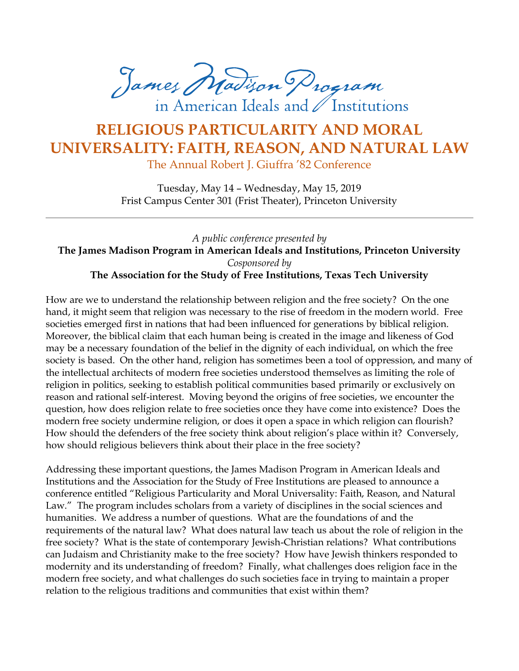James Madison Program in American Ideals and / Institutions

## **RELIGIOUS PARTICULARITY AND MORAL UNIVERSALITY: FAITH, REASON, AND NATURAL LAW**

The Annual Robert J. Giuffra '82 Conference

Tuesday, May 14 – Wednesday, May 15, 2019 Frist Campus Center 301 (Frist Theater), Princeton University

*A public conference presented by* **The James Madison Program in American Ideals and Institutions, Princeton University** *Cosponsored by* **The Association for the Study of Free Institutions, Texas Tech University**

How are we to understand the relationship between religion and the free society? On the one hand, it might seem that religion was necessary to the rise of freedom in the modern world. Free societies emerged first in nations that had been influenced for generations by biblical religion. Moreover, the biblical claim that each human being is created in the image and likeness of God may be a necessary foundation of the belief in the dignity of each individual, on which the free society is based. On the other hand, religion has sometimes been a tool of oppression, and many of the intellectual architects of modern free societies understood themselves as limiting the role of religion in politics, seeking to establish political communities based primarily or exclusively on reason and rational self-interest. Moving beyond the origins of free societies, we encounter the question, how does religion relate to free societies once they have come into existence? Does the modern free society undermine religion, or does it open a space in which religion can flourish? How should the defenders of the free society think about religion's place within it? Conversely, how should religious believers think about their place in the free society?

Addressing these important questions, the James Madison Program in American Ideals and Institutions and the Association for the Study of Free Institutions are pleased to announce a conference entitled "Religious Particularity and Moral Universality: Faith, Reason, and Natural Law." The program includes scholars from a variety of disciplines in the social sciences and humanities. We address a number of questions. What are the foundations of and the requirements of the natural law? What does natural law teach us about the role of religion in the free society? What is the state of contemporary Jewish-Christian relations? What contributions can Judaism and Christianity make to the free society? How have Jewish thinkers responded to modernity and its understanding of freedom? Finally, what challenges does religion face in the modern free society, and what challenges do such societies face in trying to maintain a proper relation to the religious traditions and communities that exist within them?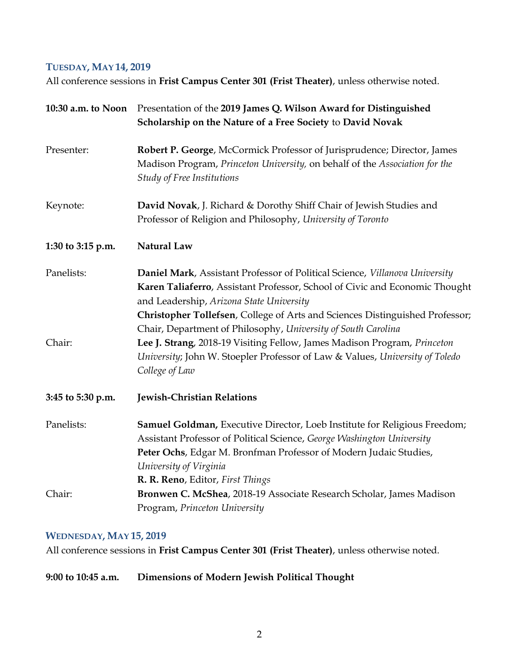## **TUESDAY, MAY 14, 2019**

All conference sessions in **Frist Campus Center 301 (Frist Theater)**, unless otherwise noted.

| 10:30 a.m. to Noon | Presentation of the 2019 James Q. Wilson Award for Distinguished<br>Scholarship on the Nature of a Free Society to David Novak                                                                                                                                                                                                                          |
|--------------------|---------------------------------------------------------------------------------------------------------------------------------------------------------------------------------------------------------------------------------------------------------------------------------------------------------------------------------------------------------|
| Presenter:         | Robert P. George, McCormick Professor of Jurisprudence; Director, James<br>Madison Program, Princeton University, on behalf of the Association for the<br>Study of Free Institutions                                                                                                                                                                    |
| Keynote:           | David Novak, J. Richard & Dorothy Shiff Chair of Jewish Studies and<br>Professor of Religion and Philosophy, University of Toronto                                                                                                                                                                                                                      |
| 1:30 to 3:15 p.m.  | <b>Natural Law</b>                                                                                                                                                                                                                                                                                                                                      |
| Panelists:         | Daniel Mark, Assistant Professor of Political Science, Villanova University<br>Karen Taliaferro, Assistant Professor, School of Civic and Economic Thought<br>and Leadership, Arizona State University<br>Christopher Tollefsen, College of Arts and Sciences Distinguished Professor;<br>Chair, Department of Philosophy, University of South Carolina |
| Chair:             | Lee J. Strang, 2018-19 Visiting Fellow, James Madison Program, Princeton<br>University; John W. Stoepler Professor of Law & Values, University of Toledo<br>College of Law                                                                                                                                                                              |
| 3:45 to 5:30 p.m.  | <b>Jewish-Christian Relations</b>                                                                                                                                                                                                                                                                                                                       |
| Panelists:         | Samuel Goldman, Executive Director, Loeb Institute for Religious Freedom;<br>Assistant Professor of Political Science, George Washington University<br>Peter Ochs, Edgar M. Bronfman Professor of Modern Judaic Studies,<br>University of Virginia<br>R. R. Reno, Editor, First Things                                                                  |
| Chair:             | Bronwen C. McShea, 2018-19 Associate Research Scholar, James Madison<br>Program, Princeton University                                                                                                                                                                                                                                                   |

## **WEDNESDAY, MAY 15, 2019**

All conference sessions in **Frist Campus Center 301 (Frist Theater)**, unless otherwise noted.